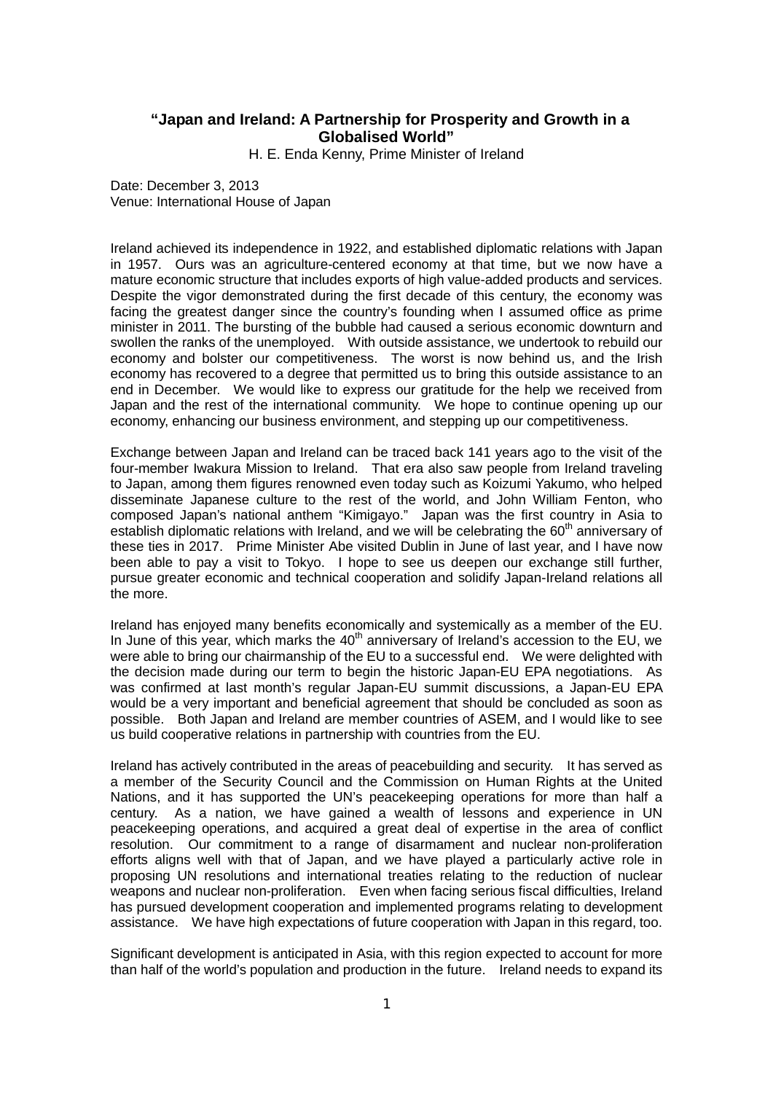## **"Japan and Ireland: A Partnership for Prosperity and Growth in a Globalised World"**

H. E. Enda Kenny, Prime Minister of Ireland

Date: December 3, 2013 Venue: International House of Japan

Ireland achieved its independence in 1922, and established diplomatic relations with Japan in 1957. Ours was an agriculture-centered economy at that time, but we now have a mature economic structure that includes exports of high value-added products and services. Despite the vigor demonstrated during the first decade of this century, the economy was facing the greatest danger since the country's founding when I assumed office as prime minister in 2011. The bursting of the bubble had caused a serious economic downturn and swollen the ranks of the unemployed. With outside assistance, we undertook to rebuild our economy and bolster our competitiveness. The worst is now behind us, and the Irish economy has recovered to a degree that permitted us to bring this outside assistance to an end in December. We would like to express our gratitude for the help we received from Japan and the rest of the international community. We hope to continue opening up our economy, enhancing our business environment, and stepping up our competitiveness.

Exchange between Japan and Ireland can be traced back 141 years ago to the visit of the four-member Iwakura Mission to Ireland. That era also saw people from Ireland traveling to Japan, among them figures renowned even today such as Koizumi Yakumo, who helped disseminate Japanese culture to the rest of the world, and John William Fenton, who composed Japan's national anthem "Kimigayo." Japan was the first country in Asia to establish diplomatic relations with Ireland, and we will be celebrating the  $60<sup>th</sup>$  anniversary of these ties in 2017. Prime Minister Abe visited Dublin in June of last year, and I have now been able to pay a visit to Tokyo. I hope to see us deepen our exchange still further, pursue greater economic and technical cooperation and solidify Japan-Ireland relations all the more.

Ireland has enjoyed many benefits economically and systemically as a member of the EU. In June of this year, which marks the  $40<sup>th</sup>$  anniversary of Ireland's accession to the EU, we were able to bring our chairmanship of the EU to a successful end. We were delighted with the decision made during our term to begin the historic Japan-EU EPA negotiations. As was confirmed at last month's regular Japan-EU summit discussions, a Japan-EU EPA would be a very important and beneficial agreement that should be concluded as soon as possible. Both Japan and Ireland are member countries of ASEM, and I would like to see us build cooperative relations in partnership with countries from the EU.

Ireland has actively contributed in the areas of peacebuilding and security. It has served as a member of the Security Council and the Commission on Human Rights at the United Nations, and it has supported the UN's peacekeeping operations for more than half a century. As a nation, we have gained a wealth of lessons and experience in UN peacekeeping operations, and acquired a great deal of expertise in the area of conflict resolution. Our commitment to a range of disarmament and nuclear non-proliferation efforts aligns well with that of Japan, and we have played a particularly active role in proposing UN resolutions and international treaties relating to the reduction of nuclear weapons and nuclear non-proliferation. Even when facing serious fiscal difficulties, Ireland has pursued development cooperation and implemented programs relating to development assistance. We have high expectations of future cooperation with Japan in this regard, too.

Significant development is anticipated in Asia, with this region expected to account for more than half of the world's population and production in the future. Ireland needs to expand its